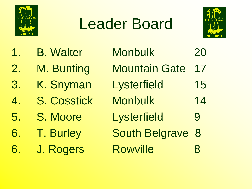

## Leader Board



| <b>B. Walter</b>   | <b>Monbulk</b>        | 20 |
|--------------------|-----------------------|----|
| M. Bunting         | <b>Mountain Gate</b>  | 17 |
| K. Snyman          | Lysterfield           | 15 |
| <b>S. Cosstick</b> | <b>Monbulk</b>        | 14 |
| S. Moore           | Lysterfield           | 9  |
| <b>T. Burley</b>   | <b>South Belgrave</b> | 8  |
| J. Rogers          | <b>Rowville</b>       | 8  |
|                    |                       |    |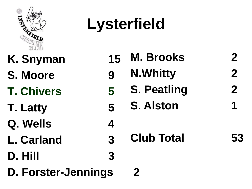

## **Lysterfield**

- **K. Snyman 15**
- **S. Moore 9**
- **T. Chivers 5**
- **T. Latty 5**
- **Q. Wells 4**
- **L. Carland 3**
- **D. Hill 3**
- **D. Forster-Jennings 2**
- **M. Brooks 2**
	- **N.Whitty 2**
		- **S. Peatling 2**
		- **S. Alston 1**
			- **Club Total 53**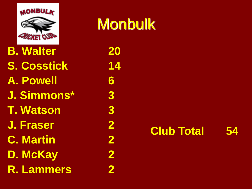

**B. Walter 20 S. Cosstick 14 A. Powell 6 J. Simmons\* 3 T. Watson 3 J. Fraser 2 C. Martin 2 D. McKay 2 R. Lammers 2**

**Monbulk**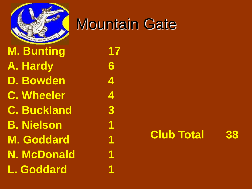

# Mountain Gate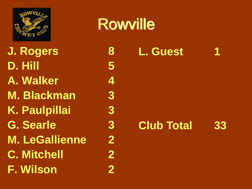

**J. Rogers 8 D. Hill 5 A. Walker 4 M. Blackman 3 K. Paulpillai 3 G. Searle 3 M. LeGallienne 2 C. Mitchell 2 F. Wilson 2**

### **Rowville**

#### **L. Guest 1**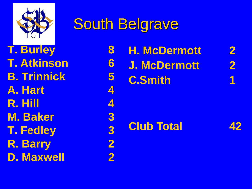

### South Belgrave

**T. Burley 8 T. Atkinson 6 B. Trinnick 5 A. Hart 4 R. Hill 4 M. Baker 3 T. Fedley 3 R. Barry 2 D. Maxwell 2** **H. McDermott 2 J. McDermott 2 C.Smith 1**